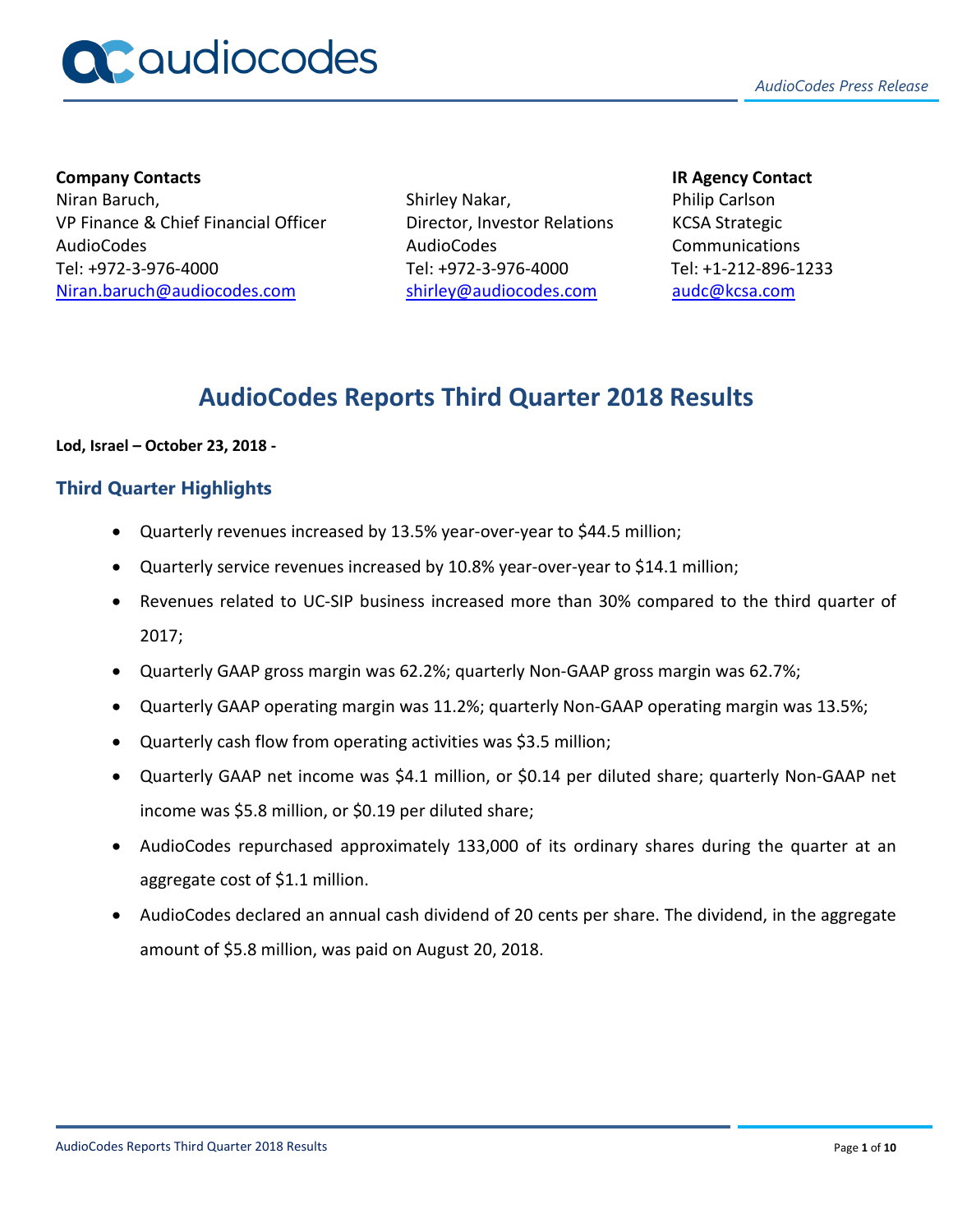**Company Contacts IR Agency Contact** Niran Baruch, VP Finance & Chief Financial Officer AudioCodes Tel: +972-3-976-4000 [Niran.baruch@audiocodes.com](mailto:Niran.baruch@audiocodes.com)

Shirley Nakar, Director, Investor Relations AudioCodes Tel: +972-3-976-4000 [shirley@audiocodes.com](mailto:shirley@audiocodes.com)

Philip Carlson KCSA Strategic Communications Tel: +1-212-896-1233 [audc@kcsa.com](mailto:audc@kcsa.com)

## **AudioCodes Reports Third Quarter 2018 Results**

#### **Lod, Israel – October 23, 2018 -**

### **Third Quarter Highlights**

- Quarterly revenues increased by 13.5% year-over-year to \$44.5 million;
- Quarterly service revenues increased by 10.8% year-over-year to \$14.1 million;
- Revenues related to UC-SIP business increased more than 30% compared to the third quarter of 2017;
- Quarterly GAAP gross margin was 62.2%; quarterly Non-GAAP gross margin was 62.7%;
- Quarterly GAAP operating margin was 11.2%; quarterly Non-GAAP operating margin was 13.5%;
- Quarterly cash flow from operating activities was \$3.5 million;
- Quarterly GAAP net income was \$4.1 million, or \$0.14 per diluted share; quarterly Non-GAAP net income was \$5.8 million, or \$0.19 per diluted share;
- AudioCodes repurchased approximately 133,000 of its ordinary shares during the quarter at an aggregate cost of \$1.1 million.
- AudioCodes declared an annual cash dividend of 20 cents per share. The dividend, in the aggregate amount of \$5.8 million, was paid on August 20, 2018.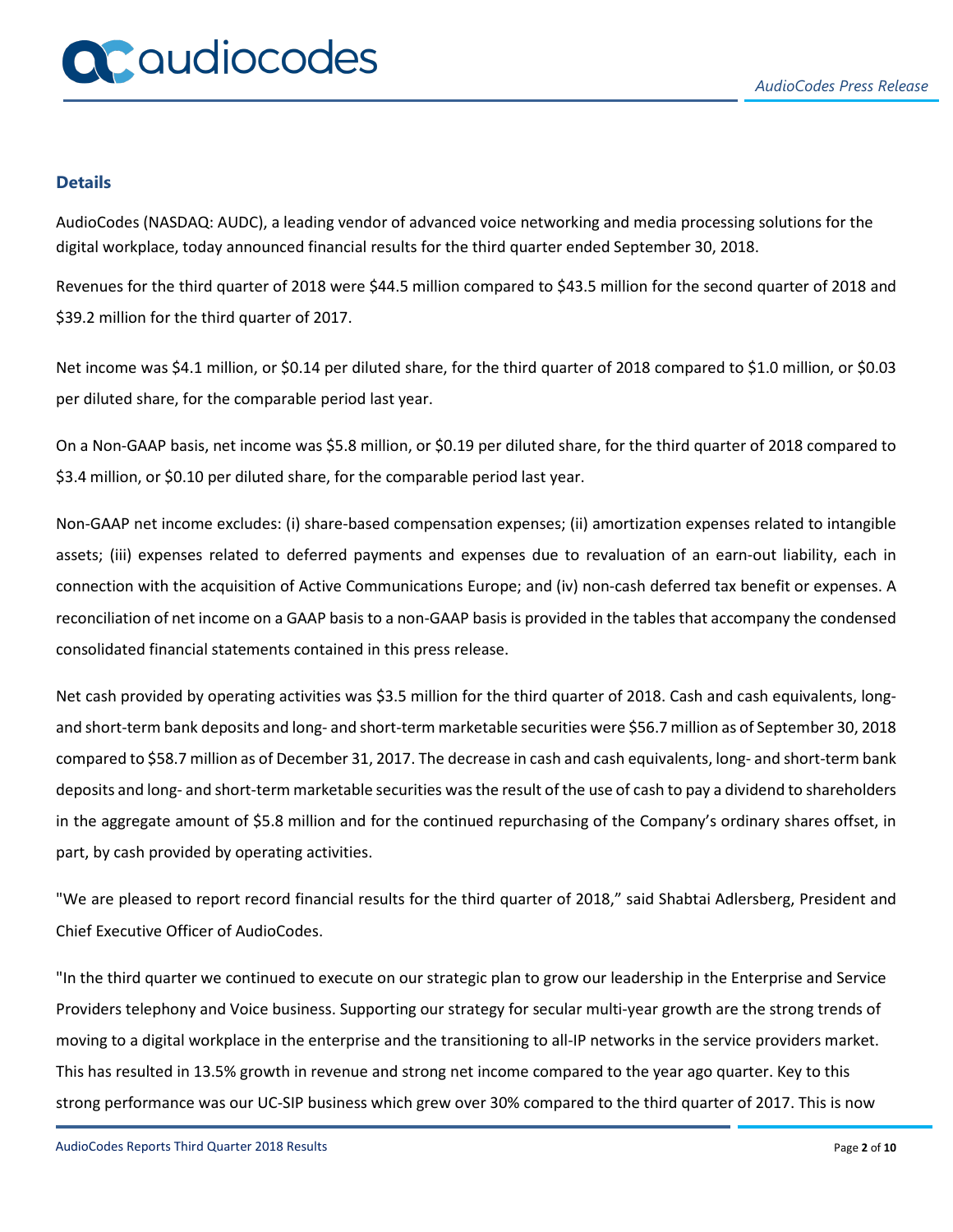# Caudiocodes

## **Details**

AudioCodes (NASDAQ: AUDC), a leading vendor of advanced voice networking and media processing solutions for the digital workplace, today announced financial results for the third quarter ended September 30, 2018.

Revenues for the third quarter of 2018 were \$44.5 million compared to \$43.5 million for the second quarter of 2018 and \$39.2 million for the third quarter of 2017.

Net income was \$4.1 million, or \$0.14 per diluted share, for the third quarter of 2018 compared to \$1.0 million, or \$0.03 per diluted share, for the comparable period last year.

On a Non-GAAP basis, net income was \$5.8 million, or \$0.19 per diluted share, for the third quarter of 2018 compared to \$3.4 million, or \$0.10 per diluted share, for the comparable period last year.

Non-GAAP net income excludes: (i) share-based compensation expenses; (ii) amortization expenses related to intangible assets; (iii) expenses related to deferred payments and expenses due to revaluation of an earn-out liability, each in connection with the acquisition of Active Communications Europe; and (iv) non-cash deferred tax benefit or expenses. A reconciliation of net income on a GAAP basis to a non-GAAP basis is provided in the tables that accompany the condensed consolidated financial statements contained in this press release.

Net cash provided by operating activities was \$3.5 million for the third quarter of 2018. Cash and cash equivalents, longand short-term bank deposits and long- and short-term marketable securities were \$56.7 million as of September 30, 2018 compared to \$58.7 million as of December 31, 2017. The decrease in cash and cash equivalents, long- and short-term bank deposits and long- and short-term marketable securities was the result of the use of cash to pay a dividend to shareholders in the aggregate amount of \$5.8 million and for the continued repurchasing of the Company's ordinary shares offset, in part, by cash provided by operating activities.

"We are pleased to report record financial results for the third quarter of 2018," said Shabtai Adlersberg, President and Chief Executive Officer of AudioCodes.

"In the third quarter we continued to execute on our strategic plan to grow our leadership in the Enterprise and Service Providers telephony and Voice business. Supporting our strategy for secular multi-year growth are the strong trends of moving to a digital workplace in the enterprise and the transitioning to all-IP networks in the service providers market. This has resulted in 13.5% growth in revenue and strong net income compared to the year ago quarter. Key to this strong performance was our UC-SIP business which grew over 30% compared to the third quarter of 2017. This is now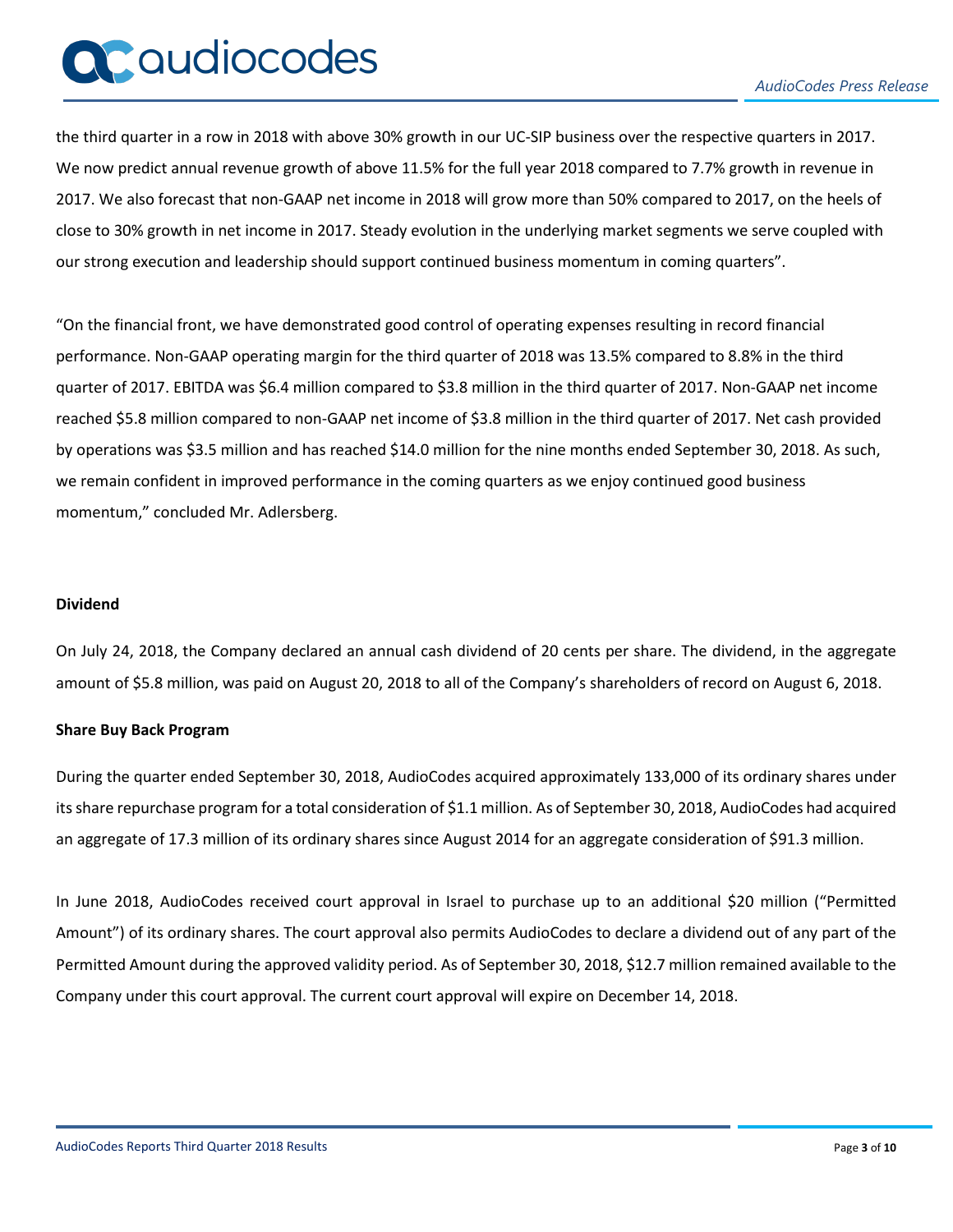## **a** audiocodes

the third quarter in a row in 2018 with above 30% growth in our UC-SIP business over the respective quarters in 2017. We now predict annual revenue growth of above 11.5% for the full year 2018 compared to 7.7% growth in revenue in 2017. We also forecast that non-GAAP net income in 2018 will grow more than 50% compared to 2017, on the heels of close to 30% growth in net income in 2017. Steady evolution in the underlying market segments we serve coupled with our strong execution and leadership should support continued business momentum in coming quarters".

"On the financial front, we have demonstrated good control of operating expenses resulting in record financial performance. Non-GAAP operating margin for the third quarter of 2018 was 13.5% compared to 8.8% in the third quarter of 2017. EBITDA was \$6.4 million compared to \$3.8 million in the third quarter of 2017. Non-GAAP net income reached \$5.8 million compared to non-GAAP net income of \$3.8 million in the third quarter of 2017. Net cash provided by operations was \$3.5 million and has reached \$14.0 million for the nine months ended September 30, 2018. As such, we remain confident in improved performance in the coming quarters as we enjoy continued good business momentum," concluded Mr. Adlersberg.

#### **Dividend**

On July 24, 2018, the Company declared an annual cash dividend of 20 cents per share. The dividend, in the aggregate amount of \$5.8 million, was paid on August 20, 2018 to all of the Company's shareholders of record on August 6, 2018.

#### **Share Buy Back Program**

During the quarter ended September 30, 2018, AudioCodes acquired approximately 133,000 of its ordinary shares under its share repurchase program for a total consideration of \$1.1 million. As of September 30, 2018, AudioCodes had acquired an aggregate of 17.3 million of its ordinary shares since August 2014 for an aggregate consideration of \$91.3 million.

In June 2018, AudioCodes received court approval in Israel to purchase up to an additional \$20 million ("Permitted Amount") of its ordinary shares. The court approval also permits AudioCodes to declare a dividend out of any part of the Permitted Amount during the approved validity period. As of September 30, 2018, \$12.7 million remained available to the Company under this court approval. The current court approval will expire on December 14, 2018.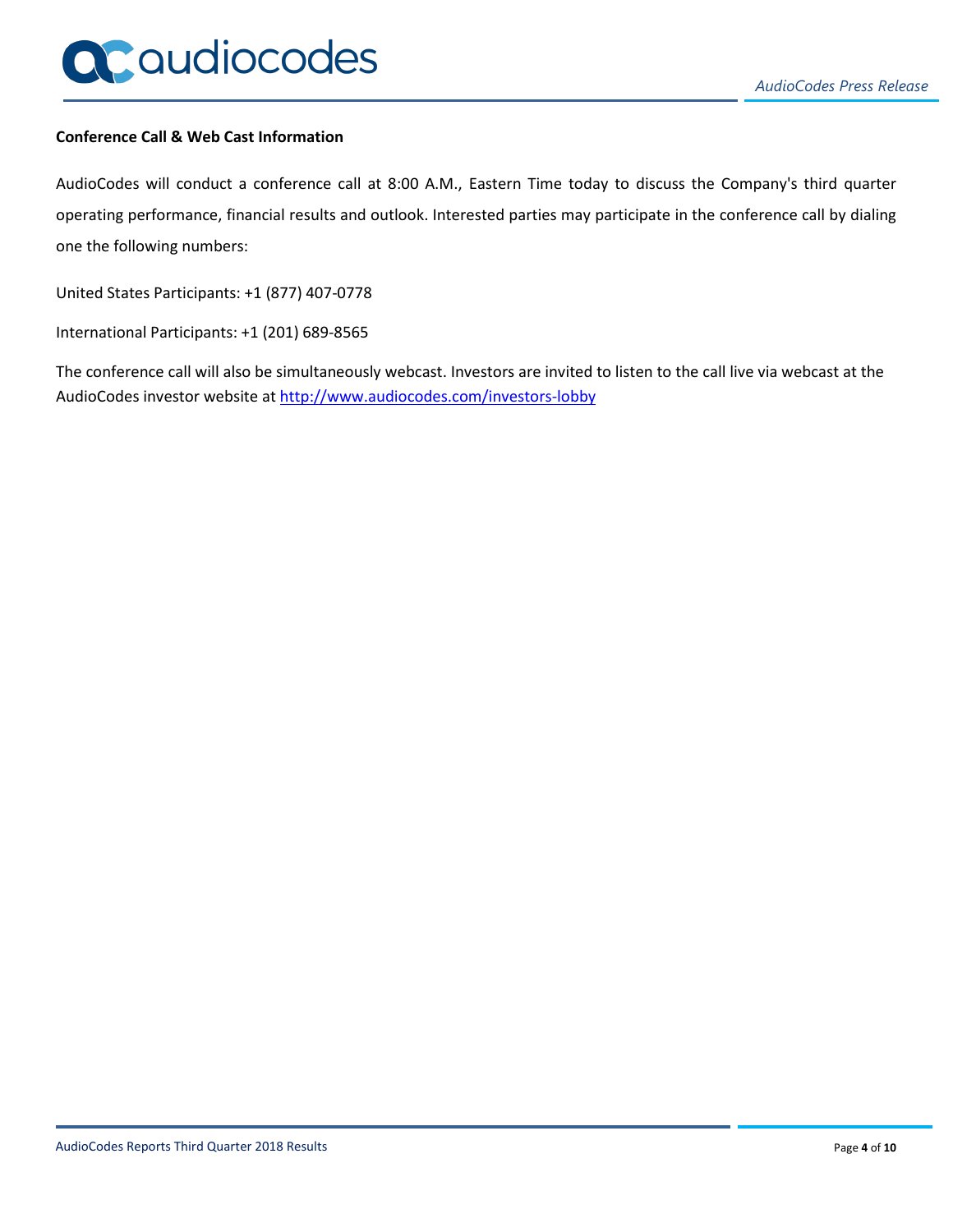### **Conference Call & Web Cast Information**

AudioCodes will conduct a conference call at 8:00 A.M., Eastern Time today to discuss the Company's third quarter operating performance, financial results and outlook. Interested parties may participate in the conference call by dialing one the following numbers:

United States Participants: +1 (877) 407-0778

International Participants: +1 (201) 689-8565

The conference call will also be simultaneously webcast. Investors are invited to listen to the call live via webcast at the AudioCodes investor website at<http://www.audiocodes.com/investors-lobby>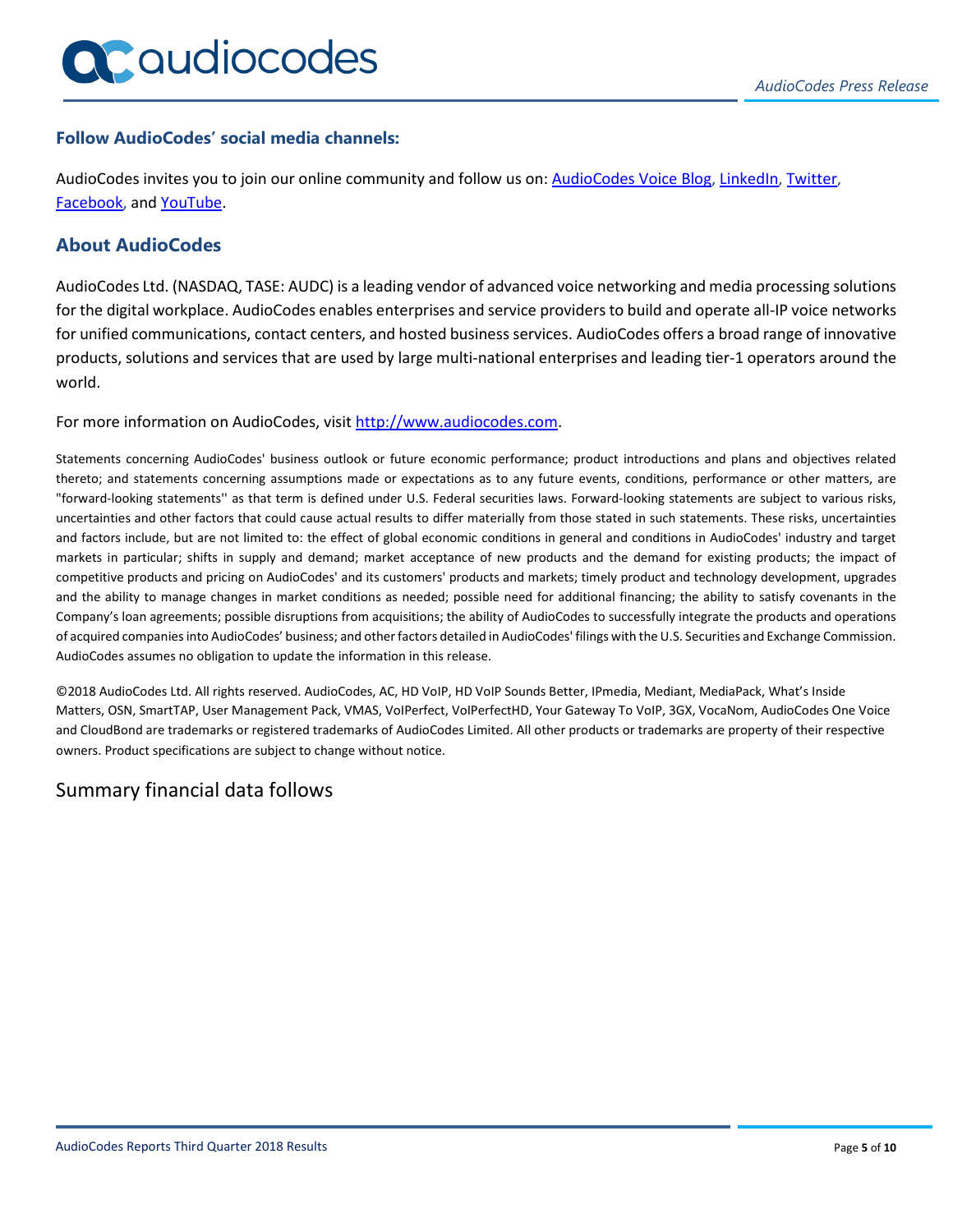## **Follow AudioCodes' social media channels:**

AudioCodes invites you to join our online community and follow us on[: AudioCodes Voice Blog,](http://blog.audiocodes.com/) [LinkedIn,](http://www.linkedin.com/companies/audiocodes) [Twitter,](http://www.twitter.com/audiocodes) [Facebook,](http://www.facebook.com/audiocodes) and [YouTube.](http://www.youtube.com/user/audioserge)

## **About AudioCodes**

AudioCodes Ltd. (NASDAQ, TASE: AUDC) is a leading vendor of advanced voice networking and media processing solutions for the digital workplace. AudioCodes enables enterprises and service providers to build and operate all-IP voice networks for unified communications, contact centers, and hosted business services. AudioCodes offers a broad range of innovative products, solutions and services that are used by large multi-national enterprises and leading tier-1 operators around the world.

#### For more information on AudioCodes, visi[t http://www.audiocodes.com.](http://www.audiocodes.com/)

Statements concerning AudioCodes' business outlook or future economic performance; product introductions and plans and objectives related thereto; and statements concerning assumptions made or expectations as to any future events, conditions, performance or other matters, are "forward-looking statements'' as that term is defined under U.S. Federal securities laws. Forward-looking statements are subject to various risks, uncertainties and other factors that could cause actual results to differ materially from those stated in such statements. These risks, uncertainties and factors include, but are not limited to: the effect of global economic conditions in general and conditions in AudioCodes' industry and target markets in particular; shifts in supply and demand; market acceptance of new products and the demand for existing products; the impact of competitive products and pricing on AudioCodes' and its customers' products and markets; timely product and technology development, upgrades and the ability to manage changes in market conditions as needed; possible need for additional financing; the ability to satisfy covenants in the Company's loan agreements; possible disruptions from acquisitions; the ability of AudioCodes to successfully integrate the products and operations of acquired companies into AudioCodes' business; and other factors detailed in AudioCodes' filings with the U.S. Securities and Exchange Commission. AudioCodes assumes no obligation to update the information in this release.

©2018 AudioCodes Ltd. All rights reserved. AudioCodes, AC, HD VoIP, HD VoIP Sounds Better, IPmedia, Mediant, MediaPack, What's Inside Matters, OSN, SmartTAP, User Management Pack, VMAS, VoIPerfect, VoIPerfectHD, Your Gateway To VoIP, 3GX, VocaNom, AudioCodes One Voice and CloudBond are trademarks or registered trademarks of AudioCodes Limited. All other products or trademarks are property of their respective owners. Product specifications are subject to change without notice.

## Summary financial data follows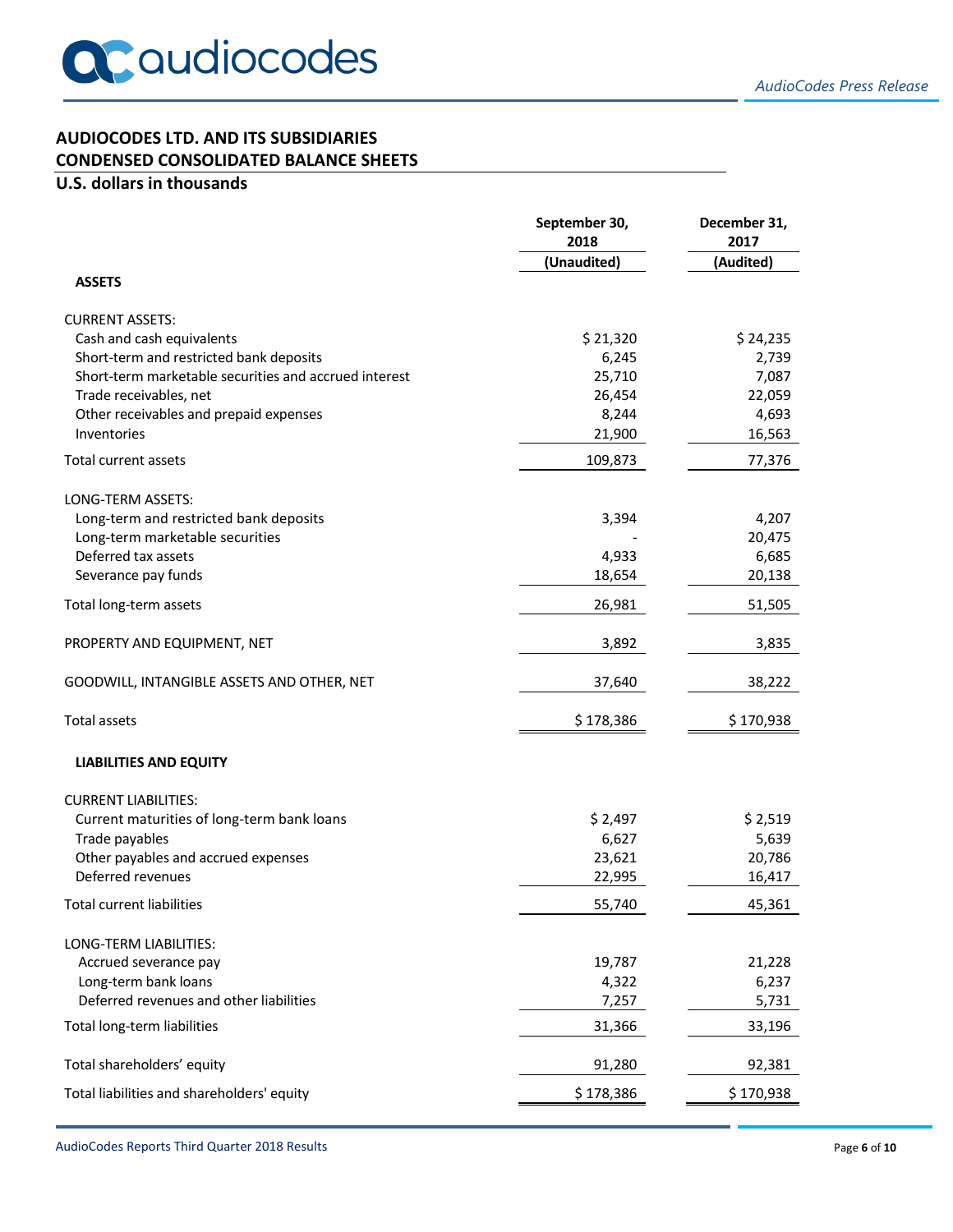## **AUDIOCODES LTD. AND ITS SUBSIDIARIES CONDENSED CONSOLIDATED BALANCE SHEETS**

### **U.S. dollars in thousands**

|                                                       | September 30,<br>2018 | December 31,<br>2017 |
|-------------------------------------------------------|-----------------------|----------------------|
|                                                       | (Unaudited)           | (Audited)            |
| <b>ASSETS</b>                                         |                       |                      |
| <b>CURRENT ASSETS:</b>                                |                       |                      |
| Cash and cash equivalents                             | \$21,320              | \$24,235             |
| Short-term and restricted bank deposits               | 6,245                 | 2,739                |
| Short-term marketable securities and accrued interest | 25,710                | 7,087                |
| Trade receivables, net                                | 26,454                | 22,059               |
| Other receivables and prepaid expenses                | 8,244                 | 4,693                |
| Inventories                                           | 21,900                | 16,563               |
| Total current assets                                  | 109,873               | 77,376               |
| LONG-TERM ASSETS:                                     |                       |                      |
| Long-term and restricted bank deposits                | 3,394                 | 4,207                |
| Long-term marketable securities                       |                       | 20,475               |
| Deferred tax assets                                   | 4,933                 | 6,685                |
| Severance pay funds                                   | 18,654                | 20,138               |
| Total long-term assets                                | 26,981                | 51,505               |
| PROPERTY AND EQUIPMENT, NET                           | 3,892                 | 3,835                |
| GOODWILL, INTANGIBLE ASSETS AND OTHER, NET            | 37,640                | 38,222               |
| <b>Total assets</b>                                   | \$178,386             | \$170,938            |
| <b>LIABILITIES AND EQUITY</b>                         |                       |                      |
| <b>CURRENT LIABILITIES:</b>                           |                       |                      |
| Current maturities of long-term bank loans            | \$2,497               | \$2,519              |
| Trade payables                                        | 6,627                 | 5,639                |
| Other payables and accrued expenses                   | 23,621                | 20,786               |
| Deferred revenues                                     | 22,995                | 16,417               |
| <b>Total current liabilities</b>                      | 55,740                | 45,361               |
| LONG-TERM LIABILITIES:                                |                       |                      |
| Accrued severance pay                                 | 19,787                | 21,228               |
| Long-term bank loans                                  | 4,322                 | 6,237                |
| Deferred revenues and other liabilities               | 7,257                 | 5,731                |
| Total long-term liabilities                           | 31,366                | 33,196               |
| Total shareholders' equity                            | 91,280                | 92,381               |
| Total liabilities and shareholders' equity            | \$178,386             | \$170,938            |
|                                                       |                       |                      |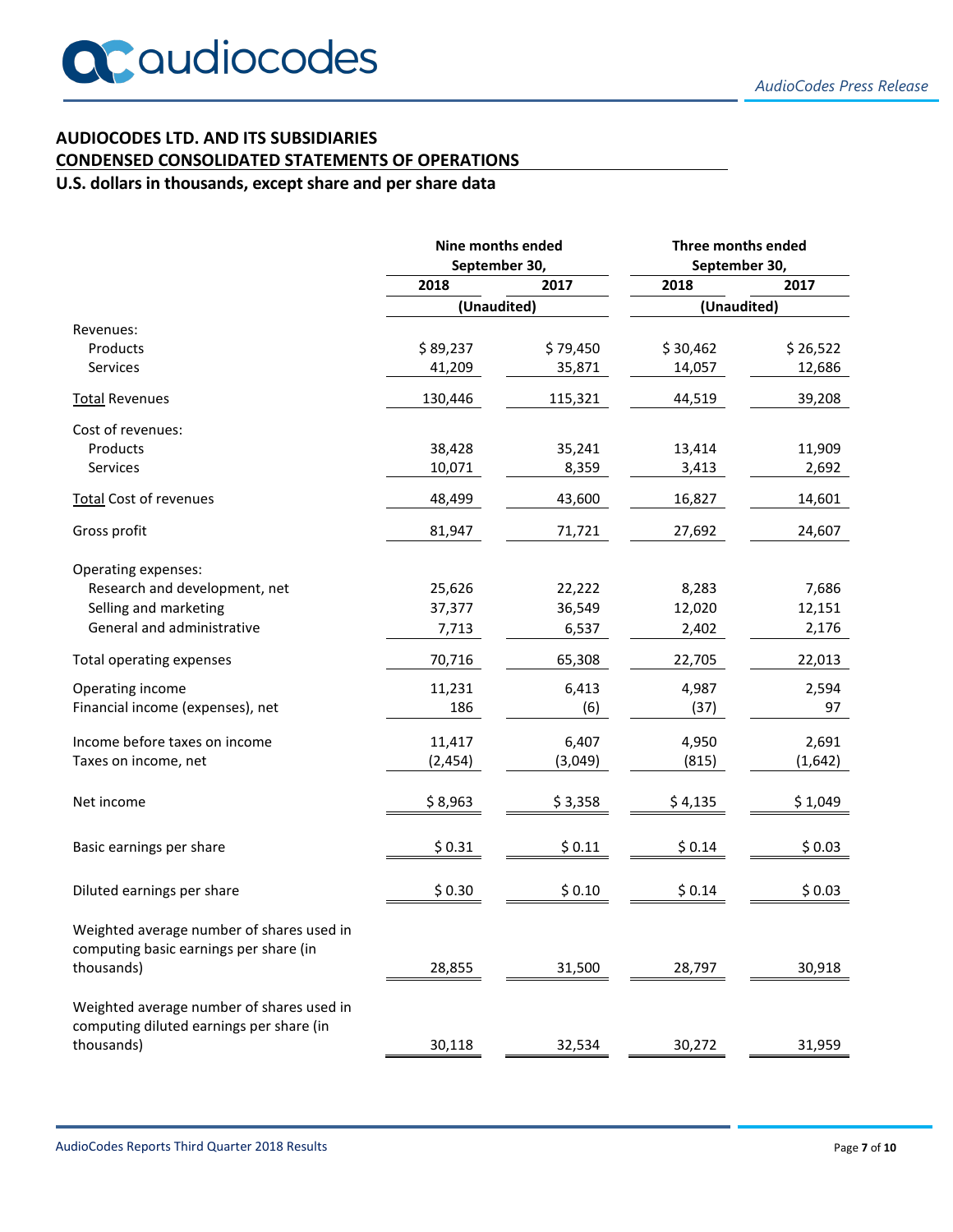## **AUDIOCODES LTD. AND ITS SUBSIDIARIES**

## **CONDENSED CONSOLIDATED STATEMENTS OF OPERATIONS**

**U.S. dollars in thousands, except share and per share data**

|                                                                                       | Nine months ended<br>September 30, |          | Three months ended<br>September 30, |          |
|---------------------------------------------------------------------------------------|------------------------------------|----------|-------------------------------------|----------|
|                                                                                       |                                    |          |                                     |          |
|                                                                                       | 2018                               | 2017     | 2018                                | 2017     |
|                                                                                       | (Unaudited)                        |          | (Unaudited)                         |          |
| Revenues:                                                                             |                                    |          |                                     |          |
| Products                                                                              | \$89,237                           | \$79,450 | \$30,462                            | \$26,522 |
| Services                                                                              | 41,209                             | 35,871   | 14,057                              | 12,686   |
| <b>Total Revenues</b>                                                                 | 130,446                            | 115,321  | 44,519                              | 39,208   |
| Cost of revenues:                                                                     |                                    |          |                                     |          |
| Products                                                                              | 38,428                             | 35,241   | 13,414                              | 11,909   |
| Services                                                                              | 10,071                             | 8,359    | 3,413                               | 2,692    |
| <b>Total Cost of revenues</b>                                                         | 48,499                             | 43,600   | 16,827                              | 14,601   |
| Gross profit                                                                          | 81,947                             | 71,721   | 27,692                              | 24,607   |
| Operating expenses:                                                                   |                                    |          |                                     |          |
| Research and development, net                                                         | 25,626                             | 22,222   | 8,283                               | 7,686    |
| Selling and marketing                                                                 | 37,377                             | 36,549   | 12,020                              | 12,151   |
| General and administrative                                                            | 7,713                              | 6,537    | 2,402                               | 2,176    |
| Total operating expenses                                                              | 70,716                             | 65,308   | 22,705                              | 22,013   |
| Operating income                                                                      | 11,231                             | 6,413    | 4,987                               | 2,594    |
| Financial income (expenses), net                                                      | 186                                | (6)      | (37)                                | 97       |
| Income before taxes on income                                                         | 11,417                             | 6,407    | 4,950                               | 2,691    |
| Taxes on income, net                                                                  | (2, 454)                           | (3,049)  | (815)                               | (1,642)  |
| Net income                                                                            | \$8,963                            | \$3,358  | \$4,135                             | \$1,049  |
| Basic earnings per share                                                              | \$0.31                             | \$0.11   | \$0.14                              | \$0.03   |
|                                                                                       |                                    |          |                                     |          |
| Diluted earnings per share                                                            | \$0.30                             | \$0.10   | \$0.14                              | \$0.03   |
| Weighted average number of shares used in<br>computing basic earnings per share (in   |                                    |          |                                     |          |
| thousands)                                                                            | 28,855                             | 31,500   | 28,797                              | 30,918   |
| Weighted average number of shares used in<br>computing diluted earnings per share (in |                                    |          |                                     |          |
| thousands)                                                                            | 30,118                             | 32,534   | 30,272                              | 31,959   |
|                                                                                       |                                    |          |                                     |          |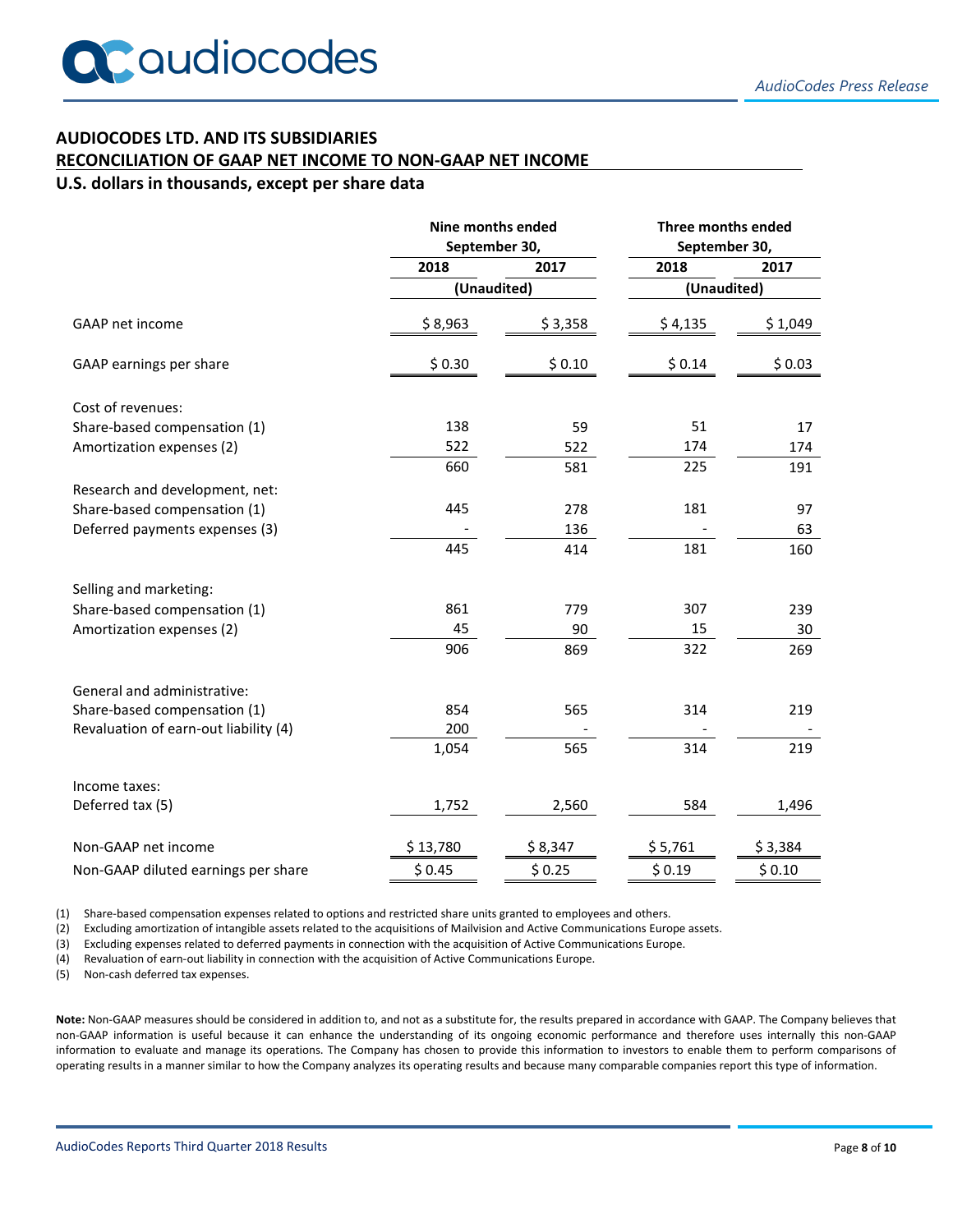#### **AUDIOCODES LTD. AND ITS SUBSIDIARIES**

#### **RECONCILIATION OF GAAP NET INCOME TO NON-GAAP NET INCOME**

#### **U.S. dollars in thousands, except per share data**

|                                       | Nine months ended<br>September 30, |         | Three months ended<br>September 30, |         |
|---------------------------------------|------------------------------------|---------|-------------------------------------|---------|
|                                       |                                    |         |                                     |         |
|                                       | 2018                               | 2017    | 2018                                | 2017    |
|                                       | (Unaudited)                        |         | (Unaudited)                         |         |
| GAAP net income                       | \$8,963                            | \$3,358 | \$4,135                             | \$1,049 |
| GAAP earnings per share               | \$0.30                             | \$0.10  | \$0.14                              | \$0.03  |
| Cost of revenues:                     |                                    |         |                                     |         |
| Share-based compensation (1)          | 138                                | 59      | 51                                  | 17      |
| Amortization expenses (2)             | 522                                | 522     | 174                                 | 174     |
|                                       | 660                                | 581     | 225                                 | 191     |
| Research and development, net:        |                                    |         |                                     |         |
| Share-based compensation (1)          | 445                                | 278     | 181                                 | 97      |
| Deferred payments expenses (3)        |                                    | 136     |                                     | 63      |
|                                       | 445                                | 414     | 181                                 | 160     |
| Selling and marketing:                |                                    |         |                                     |         |
| Share-based compensation (1)          | 861                                | 779     | 307                                 | 239     |
| Amortization expenses (2)             | 45                                 | 90      | 15                                  | 30      |
|                                       | 906                                | 869     | 322                                 | 269     |
| General and administrative:           |                                    |         |                                     |         |
| Share-based compensation (1)          | 854                                | 565     | 314                                 | 219     |
| Revaluation of earn-out liability (4) | 200                                |         |                                     |         |
|                                       | 1,054                              | 565     | 314                                 | 219     |
| Income taxes:                         |                                    |         |                                     |         |
| Deferred tax (5)                      | 1,752                              | 2,560   | 584                                 | 1,496   |
| Non-GAAP net income                   | \$13,780                           | \$8,347 | \$5,761                             | \$3,384 |
| Non-GAAP diluted earnings per share   | \$0.45                             | \$0.25  | \$0.19                              | \$0.10  |

(1) Share-based compensation expenses related to options and restricted share units granted to employees and others.

(2) Excluding amortization of intangible assets related to the acquisitions of Mailvision and Active Communications Europe assets.

(3) Excluding expenses related to deferred payments in connection with the acquisition of Active Communications Europe.

(4) Revaluation of earn-out liability in connection with the acquisition of Active Communications Europe.

(5) Non-cash deferred tax expenses.

**Note:** Non-GAAP measures should be considered in addition to, and not as a substitute for, the results prepared in accordance with GAAP. The Company believes that non-GAAP information is useful because it can enhance the understanding of its ongoing economic performance and therefore uses internally this non-GAAP information to evaluate and manage its operations. The Company has chosen to provide this information to investors to enable them to perform comparisons of operating results in a manner similar to how the Company analyzes its operating results and because many comparable companies report this type of information.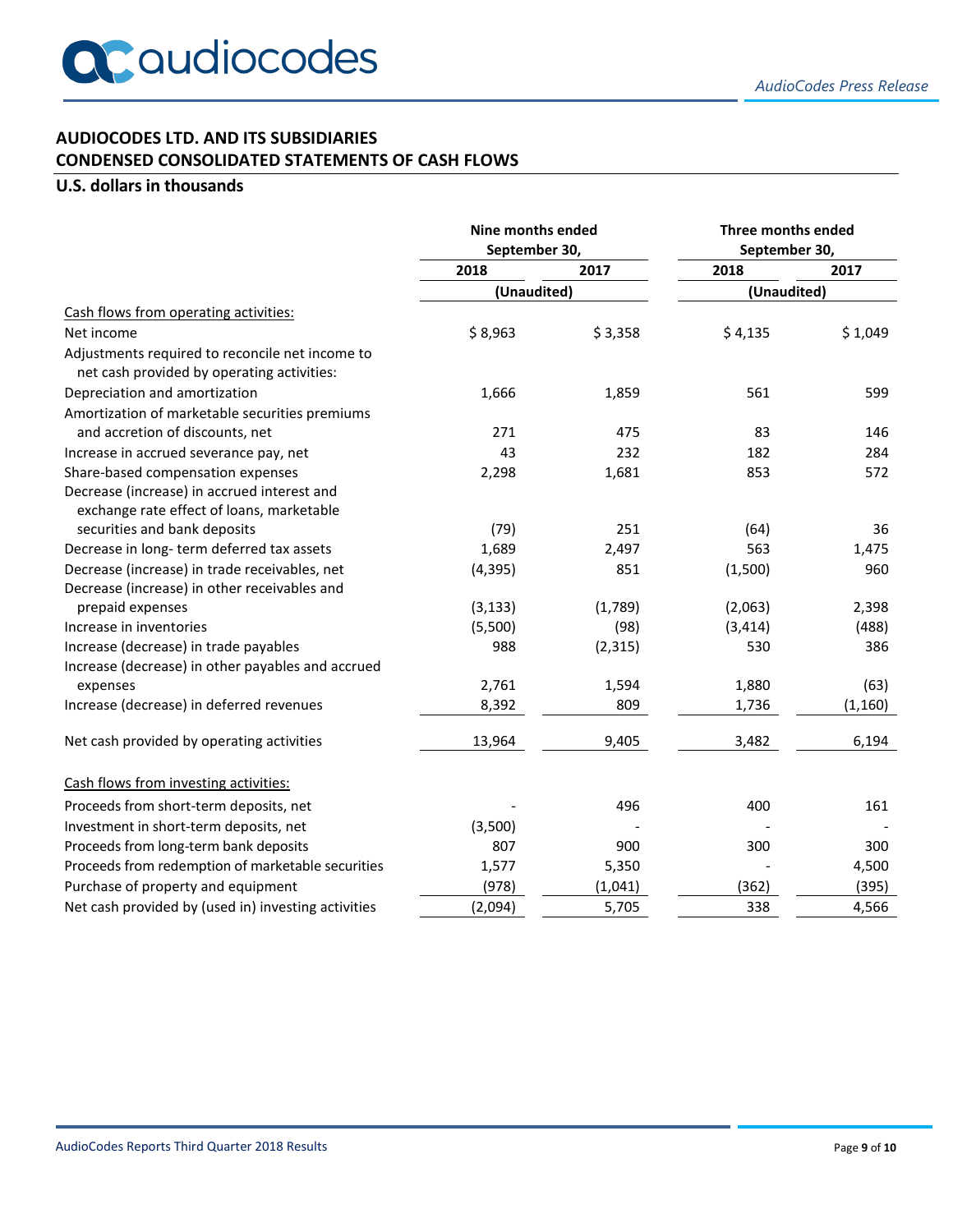## **AUDIOCODES LTD. AND ITS SUBSIDIARIES CONDENSED CONSOLIDATED STATEMENTS OF CASH FLOWS**

#### **U.S. dollars in thousands**

| September 30,<br>September 30,<br>2018<br>2017<br>2018<br>2017<br>(Unaudited)<br>(Unaudited)<br>Cash flows from operating activities: | \$1,049  |
|---------------------------------------------------------------------------------------------------------------------------------------|----------|
|                                                                                                                                       |          |
|                                                                                                                                       |          |
|                                                                                                                                       |          |
|                                                                                                                                       |          |
| \$8,963<br>\$4,135<br>\$3,358<br>Net income                                                                                           |          |
| Adjustments required to reconcile net income to                                                                                       |          |
| net cash provided by operating activities:                                                                                            |          |
| Depreciation and amortization<br>1,666<br>1,859<br>561                                                                                | 599      |
| Amortization of marketable securities premiums                                                                                        |          |
| and accretion of discounts, net<br>271<br>83<br>475                                                                                   | 146      |
| 43<br>232<br>182<br>Increase in accrued severance pay, net                                                                            | 284      |
| Share-based compensation expenses<br>853<br>2,298<br>1,681                                                                            | 572      |
| Decrease (increase) in accrued interest and                                                                                           |          |
| exchange rate effect of loans, marketable                                                                                             |          |
| securities and bank deposits<br>(79)<br>251<br>(64)                                                                                   | 36       |
| 1,689<br>563<br>Decrease in long-term deferred tax assets<br>2,497                                                                    | 1,475    |
| Decrease (increase) in trade receivables, net<br>851<br>(1,500)<br>(4, 395)                                                           | 960      |
| Decrease (increase) in other receivables and                                                                                          |          |
| (3, 133)<br>(1,789)<br>prepaid expenses<br>(2,063)                                                                                    | 2,398    |
| Increase in inventories<br>(5,500)<br>(98)<br>(3, 414)                                                                                | (488)    |
| Increase (decrease) in trade payables<br>988<br>(2, 315)<br>530                                                                       | 386      |
| Increase (decrease) in other payables and accrued                                                                                     |          |
| 2,761<br>1,594<br>1,880<br>expenses                                                                                                   | (63)     |
| Increase (decrease) in deferred revenues<br>8,392<br>809<br>1,736                                                                     | (1, 160) |
| 3,482<br>13,964<br>9,405<br>Net cash provided by operating activities                                                                 | 6,194    |
| Cash flows from investing activities:                                                                                                 |          |
| Proceeds from short-term deposits, net<br>496<br>400                                                                                  | 161      |
| Investment in short-term deposits, net<br>(3,500)                                                                                     |          |
| Proceeds from long-term bank deposits<br>807<br>900<br>300                                                                            | 300      |
| Proceeds from redemption of marketable securities<br>1,577<br>5,350                                                                   | 4,500    |
| Purchase of property and equipment<br>(978)<br>(1,041)<br>(362)                                                                       | (395)    |
| Net cash provided by (used in) investing activities<br>(2,094)<br>5,705<br>338                                                        | 4,566    |